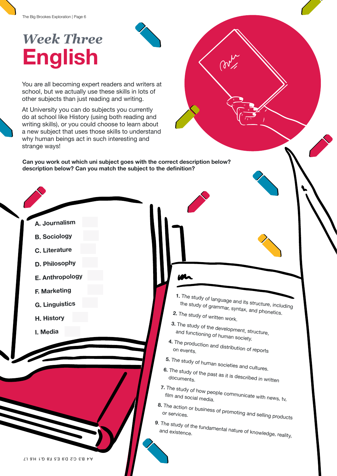## *Week Three* **English**

You are all becoming expert readers and writers at school, but we actually use these skills in lots of other subjects than just reading and writing.

At University you can do subjects you currently do at school like History (using both reading and writing skills), or you could choose to learn about a new subject that uses those skills to understand why human beings act in such interesting and strange ways!

**Can you work out which uni subject goes with the correct description below? description below? Can you match the subject to the definition?**

> **1.** The study of language and its structure, including the study of grammar, syntax, and phonetics.

**2.** The study of written work.

**3.** The study of the development, structure, and functioning of human society.

**4.** The production and distribution of reports on events.

**5.** The study of human societies and cultures.

**6.** The study of the past as it is described in written documents.

**7.** The study of how people communicate with news, tv,<br>film and social media.

**8.** The action or business of promoting and selling products<br>or services.

**9**. The study of the fundamental nature of knowledge, reality,<br>and existence.

- **A. Journalism**
- **B. Sociology**
- **C. Literature**
- **D. Philosophy**
- **E. Anthropology**
- **F. Marketing**
- **G. Linguistics**
- **H. History**
- **I. Media**